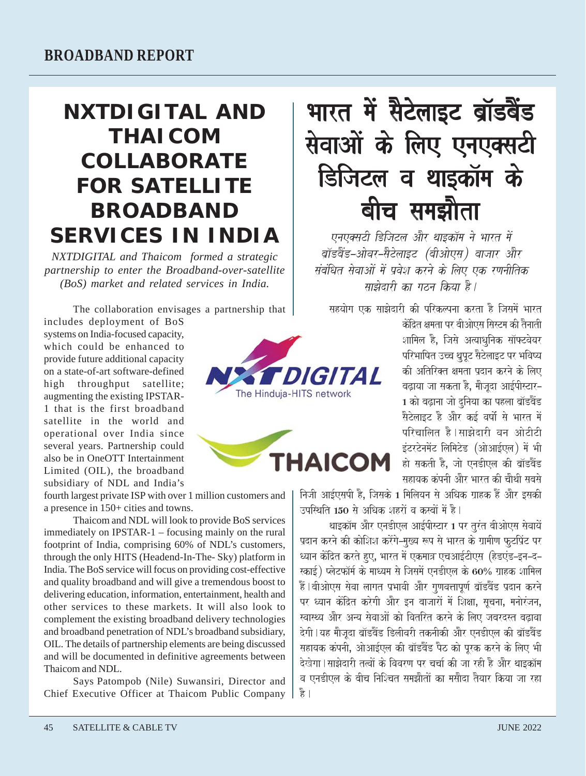## **NXTDIGITAL AND THAICOM COLLABORATE FOR SATELLITE BROADBAND SERVICES IN INDIA**

*NXTDIGITAL and Thaicom formed a strategic partnership to enter the Broadband-over-satellite (BoS) market and related services in India.*

The collaboration envisages a partnership that

includes deployment of BoS systems on India-focused capacity, which could be enhanced to provide future additional capacity on a state-of-art software-defined high throughput satellite; augmenting the existing IPSTAR-1 that is the first broadband satellite in the world and operational over India since several years. Partnership could also be in OneOTT Intertainment Limited (OIL), the broadband subsidiary of NDL and India's

fourth largest private ISP with over 1 million customers and a presence in 150+ cities and towns.

Thaicom and NDL will look to provide BoS services immediately on IPSTAR-1 – focusing mainly on the rural footprint of India, comprising 60% of NDL's customers, through the only HITS (Headend-In-The- Sky) platform in India. The BoS service will focus on providing cost-effective and quality broadband and will give a tremendous boost to delivering education, information, entertainment, health and other services to these markets. It will also look to complement the existing broadband delivery technologies and broadband penetration of NDL's broadband subsidiary, OIL. The details of partnership elements are being discussed and will be documented in definitive agreements between Thaicom and NDL.

Says Patompob (Nile) Suwansiri, Director and Chief Executive Officer at Thaicom Public Company





भारत में सैटेलाइट ब्रॉडबैंड सेवाओं के लिए एनएक्सटी डिजिटल व थाइकॉम के बीच समझौता

एनएक्सटी डिजिटल और थाइकॉम ने भारत में ब्रॉडवैंड–ओवर–सैटेलाइट (बीओएस) बाजार और संबंधित सेवाओं में प्रवेश करने के लिए एक रणनीतिक साझेदारी का गठन किया है।

सहयोग एक साझेदारी की परिकल्पना करता है जिसमें भारत

केंद्रित क्षमता पर बीओएस सिस्टम की तैनाती शामिल है, जिसे अत्याधुनिक सॉफ्टवेयर परिभाषित उच्च थ्रुपूट सैटेलाइट पर भविष्य की अतिरिक्त क्षमता प्रदान करने के लिए बढ़ाया जा सकता है, मौजूदा आईपीस्टार– 1 को बढ़ाना जो दुनिया का पहला ब्रॉडबैंड सैटेलाइट है और कई वर्षो से भारत में परिचालित है।साझेदारी वन ओटीटी इंटरटेनमेंट लिमिटेड (ओआईएल) में भी हो सकती है. जो एनडीएल की बॉडवेंड सहायक कंपनी और भारत की चौथी सबसे

निजी आईएसपी है, जिसके 1 मिलियन से अधिक ग्राहक हैं और इसकी उपस्थिति 150 से अधिक शहरों व करबों में है।

थाइकॉम और एनडीएल आईपीस्टार 1 पर तरंत बीओएस सेवायें प्रदान करने की कोशिश करेंगे–मख्य रूप से भारत के ग्रामीण फटप्रिंट पर <u>ध्यान केंद्रित करते हुए, भारत में एकमात्र एचआईटीएस (हेडएंड-इन-द-</u> स्काई) प्लेटफॉर्म के माध्यम से जिसमें एनडीएल के 60% ग्राहक शामिल .<br>हैं | बीओएस सेवा लागत प्रभावी और गुणवत्तापूर्ण ब्रॉडबैंड प्रदान करने पर ध्यान केंद्रित करेगी और इन बाजारों में शिक्षा, सचना, मनोरंजन, स्वास्थ्य और अन्य सेवाओं को वितरित करने के लिए जबरदस्त बढावा देगी।यह मौजूदा ब्रॉडवैंड डिलीवरी तकनीकी और एनडीएल की ब्रॉडवैंड सहायक कंपनी. ओआईएल की बॉडवैंड पैठ को परक करने के लिए भी देखेगा।साझेदारी तत्वों के विवरण पर चर्चा की जा रही है और थाइकॉम व एनडीएल के बीच निश्चित समझौतों का मसौदा तैयार किया जा रहा है ।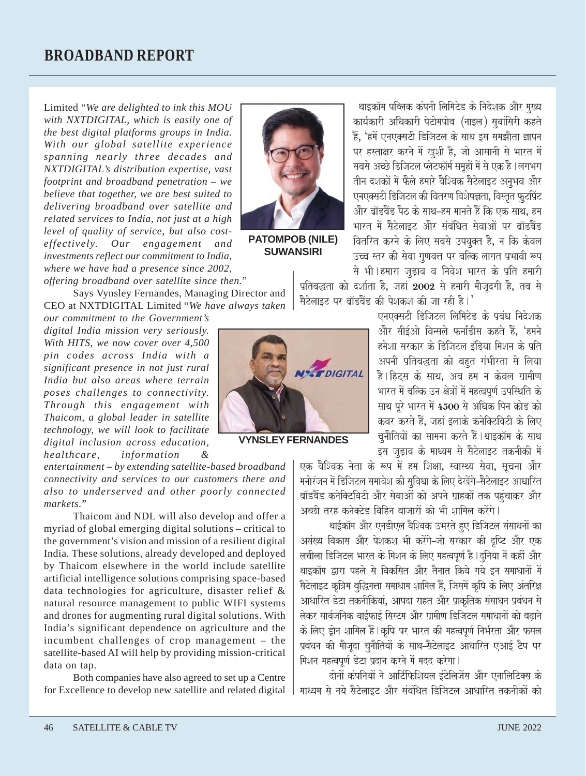Limited "*We are delighted to ink this MOU with NXTDIGITAL, which is easily one of the best digital platforms groups in India. With our global satellite experience spanning nearly three decades and NXTDIGITAL's distribution expertise, vast footprint and broadband penetration – we believe that together, we are best suited to delivering broadband over satellite and related services to India, not just at a high level of quality of service, but also costeffectively. Our engagement and investments reflect our commitment to India, where we have had a presence since 2002,*

**PATOMPOB (NILE) SUWANSIRI**

*offering broadband over satellite since then.*"

Says Vynsley Fernandes, Managing Director and CEO at NXTDIGITAL Limited "*We have always taken*

*our commitment to the Government's digital India mission very seriously. With HITS, we now cover over 4,500 pin codes across India with a significant presence in not just rural India but also areas where terrain poses challenges to connectivity. Through this engagement with Thaicom, a global leader in satellite technology, we will look to facilitate digital inclusion across education, healthcare, information &*

*entertainment – by extending satellite-based broadband connectivity and services to our customers there and also to underserved and other poorly connected markets.*"

Thaicom and NDL will also develop and offer a myriad of global emerging digital solutions – critical to the government's vision and mission of a resilient digital India. These solutions, already developed and deployed by Thaicom elsewhere in the world include satellite artificial intelligence solutions comprising space-based data technologies for agriculture, disaster relief & natural resource management to public WIFI systems and drones for augmenting rural digital solutions. With India's significant dependence on agriculture and the incumbent challenges of crop management – the satellite-based AI will help by providing mission-critical data on tap.

Both companies have also agreed to set up a Centre for Excellence to develop new satellite and related digital

प्रतिबद्धता को दर्शाता है. जहाँ 2002 से हमारी मौजदगी है. तब से सैटेलाइट पर बॉडवैंड की पेशकश की जा रही है। $^{\prime}$ एनएक्सटी डिजिटल लिमिटेड के प्रबंध निदेशक और सीईओ विन्सले फर्नाडीस कहते हैं, 'हमने

> हमेशा सरकार के डिजिटल इंडिया मिशन के प्रति अपनी प्रतिबद्धता को बहुत गंभीरता से लिया है।हिटस के साथ, अब हम न केवल ग्रामीण भारत में बल्कि उन क्षेत्रों में महत्वपूर्ण उपस्थिति के साथ पूरे भारत में 4500 से अधिक पिन कोड को कवर करते हैं, जहां इलाके कनेक्टिविटी के लिए चनौतियों का सामना करते हैं।थाइकॉम के साथ इस जड़ाव के माध्यम से सैटेलाइट तकनीकी में

थाइकॉम पब्लिक कंपनी लिमिटेड के निदेशक और मुख्य कार्यकारी अधिकारी पेटोमपोब (नाइल) सुवांसिरी कहते हैं, 'हमें एनएक्सटी डिजिटल के साथ इस समझौता ज्ञापन पर हस्ताक्षर करने में खुशी है, जो आसानी से भारत में सबसे अच्छे डिजिटल प्लेटफॉर्म समूहों में से एक है । लगभग तीन दशकों में फैले हमारे वैश्विक सैटेलाइट अनुभव और एनएक्सटी डिजिटल की वितरण विशेषज्ञता, विस्तृत फुटप्रिंट और बॉडबैंड पैठ के साथ–हम मानते हैं कि एक साथ. हम भारत में सैटेलाइट और संबंधित सेवाओं पर बॉडबैंड वितरित करने के लिए सबसे उपयक्त है. न कि केवल उच्च स्तर की सेवा गुणवत्त पर बल्कि लागत प्रभावी रूप से भी ।हमारा जडाव व निवेश भारत के प्रति हमारी



**VYNSLEY FERNANDES**

एक वैश्विक नेता के रूप में हम शिक्षा, स्वास्थ्य सेवा, सूचना और mनोरंजन में डिजिटल समावेश की सविधा के लिए देखेंगे-सैटेलाइट आधारित ब्रॉडवैंड कनेक्टिविटी और सेवाओं को अपने ग्राहकों तक पहंचाकर और अच्छी तरह कनेक्टेड विहिन बाजारों को भी शामिल करेंगे।

थाईकॉम और एनडीएल वैश्विक उभरते हए डिजिटल संसाधनों का असंख्य विकास और पेशकश भी करेंगे–जो सरकार की दृष्टि और एक लचीला डिजिटल भारत के मिशन के लिए महत्वपूर्ण है l दुनिया में कहीं और थाइकॉम द्वारा पहले से विकसित और तैनात किये गये इन समाधानों में .<br>सैटेलाइट कृत्रिम बुद्धिमत्ता समाधाम शामिल हैं, जिसमें कृषि के लिए अंतरिक्ष आधारित डेटा तकनीकियां, आपदा राहत और प्राकृतिक संसाधन प्रबंधन से .<br>लेकर सार्वजनिक वाईफाई सिस्टम और ग्रामीण डिजिटल समाधानों को बढाने के लिए ड्रोन शामिल हैं।कृषि पर भारत की महत्वपूर्ण निर्भरता और फसल प्रबंधन की मैजूदा चुनैतियों के साथ-सैटेलाइट आधारित एआई टैप पर मिशन महत्वपूर्ण डेटा प्रदान करने में मदद करेगा।

 $\overline{a}$ ोनों कंपनियों ने आर्टिफिशियल इंटेलिजेंस और एनालिटिक्स के mध्यम से नये सैटेलाइट और संबंधित डिजिटल आधारित तकनीकों को